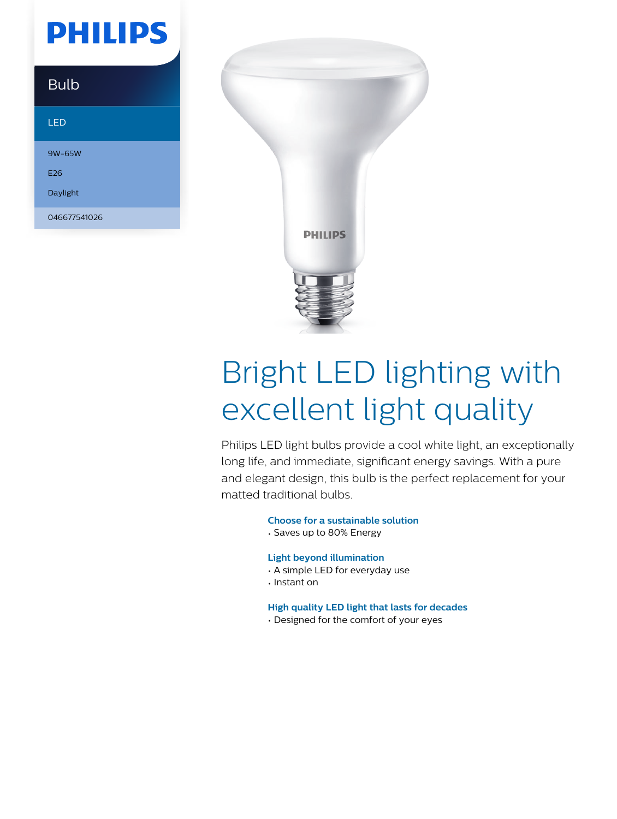## **PHILIPS**

### Bulb LED

9W-65W E26 Daylight 046677541026



# Bright LED lighting with excellent light quality

Philips LED light bulbs provide a cool white light, an exceptionally long life, and immediate, significant energy savings. With a pure and elegant design, this bulb is the perfect replacement for your matted traditional bulbs.

**Choose for a sustainable solution**

• Saves up to 80% Energy

#### **Light beyond illumination**

- A simple LED for everyday use
- Instant on

#### **High quality LED light that lasts for decades**

• Designed for the comfort of your eyes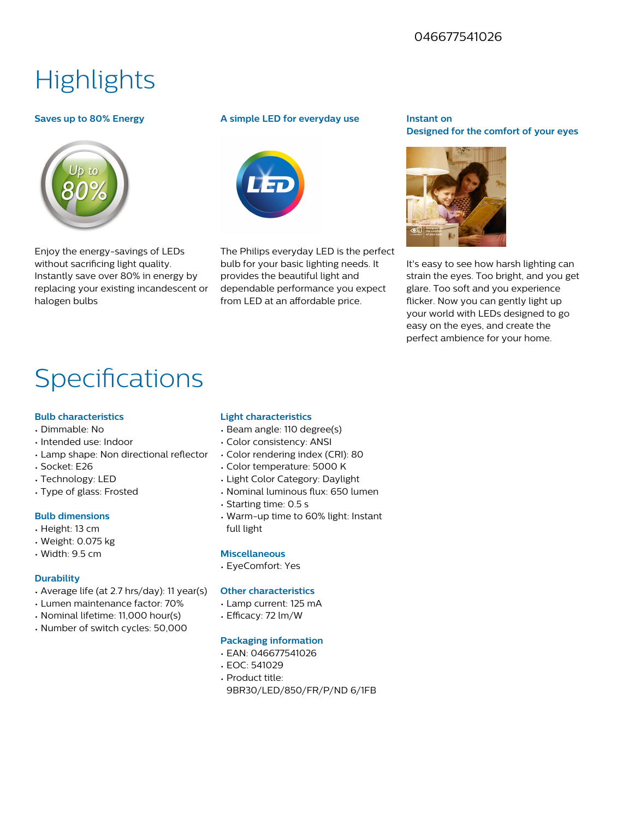#### 046677541026

## **Highlights**

#### **Saves up to 80% Energy**



Enjoy the energy-savings of LEDs without sacrificing light quality. Instantly save over 80% in energy by replacing your existing incandescent or halogen bulbs

#### **A simple LED for everyday use**



The Philips everyday LED is the perfect bulb for your basic lighting needs. It provides the beautiful light and dependable performance you expect from LED at an affordable price.

#### **Instant on Designed for the comfort of your eyes**



It's easy to see how harsh lighting can strain the eyes. Too bright, and you get glare. Too soft and you experience flicker. Now you can gently light up your world with LEDs designed to go easy on the eyes, and create the perfect ambience for your home.

### Specifications

#### **Bulb characteristics**

- Dimmable: No
- Intended use: Indoor
- Lamp shape: Non directional reflector
- Socket: E26
- Technology: LED
- Type of glass: Frosted

#### **Bulb dimensions**

- Height: 13 cm
- Weight: 0.075 kg
- Width: 9.5 cm

#### **Durability**

- Average life (at 2.7 hrs/day): 11 year(s)
- Lumen maintenance factor: 70%
- Nominal lifetime: 11,000 hour(s)
- Number of switch cycles: 50,000

#### **Light characteristics**

- Beam angle: 110 degree(s)
- Color consistency: ANSI
- Color rendering index (CRI): 80
- Color temperature: 5000 K
- Light Color Category: Daylight
- Nominal luminous flux: 650 lumen
- Starting time: 0.5 s
- Warm-up time to 60% light: Instant full light

#### **Miscellaneous**

• EyeComfort: Yes

#### **Other characteristics**

- Lamp current: 125 mA
- Efficacy: 72 lm/W

#### **Packaging information**

- EAN: 046677541026
- EOC: 541029
- Product title:
	- 9BR30/LED/850/FR/P/ND 6/1FB